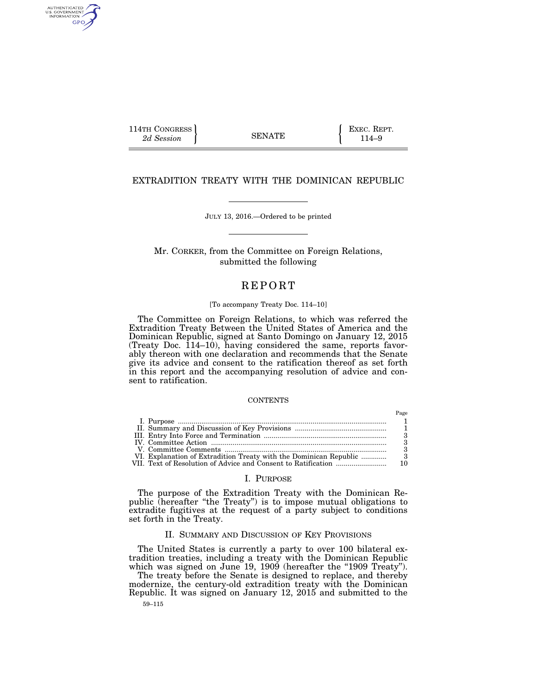114TH CONGRESS **EXEC. REPT.** 2d Session **EXEC. EXEC. EXEC. EXEC. EXEC. PHONG 2d** SENATE 114–9

AUTHENTICATED<br>U.S. GOVERNMENT<br>INFORMATION GPO

## EXTRADITION TREATY WITH THE DOMINICAN REPUBLIC

JULY 13, 2016.—Ordered to be printed

Mr. CORKER, from the Committee on Foreign Relations, submitted the following

# **REPORT**

## [To accompany Treaty Doc. 114–10]

The Committee on Foreign Relations, to which was referred the Extradition Treaty Between the United States of America and the Dominican Republic, signed at Santo Domingo on January 12, 2015 (Treaty Doc. 114–10), having considered the same, reports favorably thereon with one declaration and recommends that the Senate give its advice and consent to the ratification thereof as set forth in this report and the accompanying resolution of advice and consent to ratification.

### **CONTENTS**

|  | Page |
|--|------|
|  |      |
|  |      |
|  |      |
|  |      |
|  |      |
|  |      |
|  |      |

# I. PURPOSE

The purpose of the Extradition Treaty with the Dominican Republic (hereafter "the Treaty") is to impose mutual obligations to extradite fugitives at the request of a party subject to conditions set forth in the Treaty.

## II. SUMMARY AND DISCUSSION OF KEY PROVISIONS

The United States is currently a party to over 100 bilateral extradition treaties, including a treaty with the Dominican Republic which was signed on June 19, 1909 (hereafter the "1909 Treaty").

The treaty before the Senate is designed to replace, and thereby modernize, the century-old extradition treaty with the Dominican Republic. It was signed on January 12, 2015 and submitted to the

59–115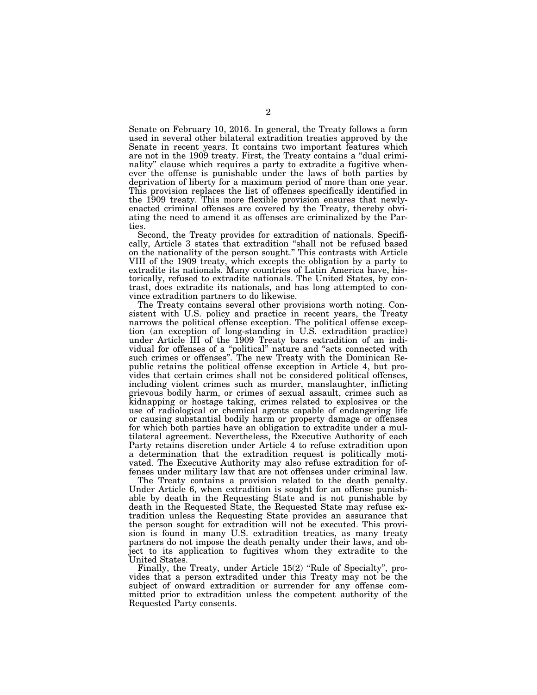Senate on February 10, 2016. In general, the Treaty follows a form used in several other bilateral extradition treaties approved by the Senate in recent years. It contains two important features which are not in the 1909 treaty. First, the Treaty contains a "dual criminality'' clause which requires a party to extradite a fugitive whenever the offense is punishable under the laws of both parties by deprivation of liberty for a maximum period of more than one year. This provision replaces the list of offenses specifically identified in the 1909 treaty. This more flexible provision ensures that newlyenacted criminal offenses are covered by the Treaty, thereby obviating the need to amend it as offenses are criminalized by the Parties.

Second, the Treaty provides for extradition of nationals. Specifically, Article 3 states that extradition ''shall not be refused based on the nationality of the person sought.'' This contrasts with Article VIII of the 1909 treaty, which excepts the obligation by a party to extradite its nationals. Many countries of Latin America have, historically, refused to extradite nationals. The United States, by contrast, does extradite its nationals, and has long attempted to convince extradition partners to do likewise.

The Treaty contains several other provisions worth noting. Consistent with U.S. policy and practice in recent years, the Treaty narrows the political offense exception. The political offense exception (an exception of long-standing in U.S. extradition practice) under Article III of the 1909 Treaty bars extradition of an individual for offenses of a ''political'' nature and ''acts connected with such crimes or offenses''. The new Treaty with the Dominican Republic retains the political offense exception in Article 4, but provides that certain crimes shall not be considered political offenses, including violent crimes such as murder, manslaughter, inflicting grievous bodily harm, or crimes of sexual assault, crimes such as kidnapping or hostage taking, crimes related to explosives or the use of radiological or chemical agents capable of endangering life or causing substantial bodily harm or property damage or offenses for which both parties have an obligation to extradite under a multilateral agreement. Nevertheless, the Executive Authority of each Party retains discretion under Article 4 to refuse extradition upon a determination that the extradition request is politically motivated. The Executive Authority may also refuse extradition for offenses under military law that are not offenses under criminal law.

The Treaty contains a provision related to the death penalty. Under Article 6, when extradition is sought for an offense punishable by death in the Requesting State and is not punishable by death in the Requested State, the Requested State may refuse extradition unless the Requesting State provides an assurance that the person sought for extradition will not be executed. This provision is found in many U.S. extradition treaties, as many treaty partners do not impose the death penalty under their laws, and object to its application to fugitives whom they extradite to the United States.

Finally, the Treaty, under Article 15(2) "Rule of Specialty", provides that a person extradited under this Treaty may not be the subject of onward extradition or surrender for any offense committed prior to extradition unless the competent authority of the Requested Party consents.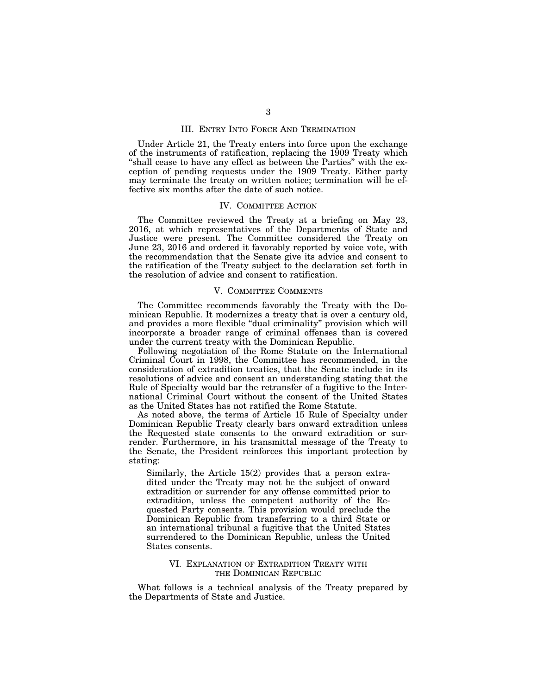## III. ENTRY INTO FORCE AND TERMINATION

Under Article 21, the Treaty enters into force upon the exchange of the instruments of ratification, replacing the 1909 Treaty which "shall cease to have any effect as between the Parties" with the exception of pending requests under the 1909 Treaty. Either party may terminate the treaty on written notice; termination will be effective six months after the date of such notice.

### IV. COMMITTEE ACTION

The Committee reviewed the Treaty at a briefing on May 23, 2016, at which representatives of the Departments of State and Justice were present. The Committee considered the Treaty on June 23, 2016 and ordered it favorably reported by voice vote, with the recommendation that the Senate give its advice and consent to the ratification of the Treaty subject to the declaration set forth in the resolution of advice and consent to ratification.

## V. COMMITTEE COMMENTS

The Committee recommends favorably the Treaty with the Dominican Republic. It modernizes a treaty that is over a century old, and provides a more flexible "dual criminality" provision which will incorporate a broader range of criminal offenses than is covered under the current treaty with the Dominican Republic.

Following negotiation of the Rome Statute on the International Criminal Court in 1998, the Committee has recommended, in the consideration of extradition treaties, that the Senate include in its resolutions of advice and consent an understanding stating that the Rule of Specialty would bar the retransfer of a fugitive to the International Criminal Court without the consent of the United States as the United States has not ratified the Rome Statute.

As noted above, the terms of Article 15 Rule of Specialty under Dominican Republic Treaty clearly bars onward extradition unless the Requested state consents to the onward extradition or surrender. Furthermore, in his transmittal message of the Treaty to the Senate, the President reinforces this important protection by stating:

Similarly, the Article 15(2) provides that a person extradited under the Treaty may not be the subject of onward extradition or surrender for any offense committed prior to extradition, unless the competent authority of the Requested Party consents. This provision would preclude the Dominican Republic from transferring to a third State or an international tribunal a fugitive that the United States surrendered to the Dominican Republic, unless the United States consents.

## VI. EXPLANATION OF EXTRADITION TREATY WITH THE DOMINICAN REPUBLIC

What follows is a technical analysis of the Treaty prepared by the Departments of State and Justice.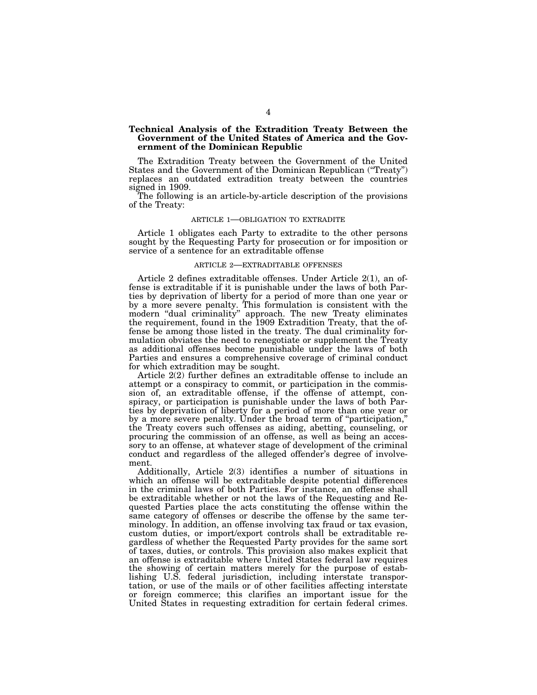## **Technical Analysis of the Extradition Treaty Between the Government of the United States of America and the Government of the Dominican Republic**

The Extradition Treaty between the Government of the United States and the Government of the Dominican Republican (''Treaty'') replaces an outdated extradition treaty between the countries signed in 1909.

The following is an article-by-article description of the provisions of the Treaty:

#### ARTICLE 1—OBLIGATION TO EXTRADITE

Article 1 obligates each Party to extradite to the other persons sought by the Requesting Party for prosecution or for imposition or service of a sentence for an extraditable offense

## ARTICLE 2—EXTRADITABLE OFFENSES

Article 2 defines extraditable offenses. Under Article 2(1), an offense is extraditable if it is punishable under the laws of both Parties by deprivation of liberty for a period of more than one year or by a more severe penalty. This formulation is consistent with the modern ''dual criminality'' approach. The new Treaty eliminates the requirement, found in the 1909 Extradition Treaty, that the offense be among those listed in the treaty. The dual criminality formulation obviates the need to renegotiate or supplement the Treaty as additional offenses become punishable under the laws of both Parties and ensures a comprehensive coverage of criminal conduct for which extradition may be sought.

Article 2(2) further defines an extraditable offense to include an attempt or a conspiracy to commit, or participation in the commission of, an extraditable offense, if the offense of attempt, conspiracy, or participation is punishable under the laws of both Parties by deprivation of liberty for a period of more than one year or by a more severe penalty. Under the broad term of ''participation,'' the Treaty covers such offenses as aiding, abetting, counseling, or procuring the commission of an offense, as well as being an accessory to an offense, at whatever stage of development of the criminal conduct and regardless of the alleged offender's degree of involvement.

Additionally, Article 2(3) identifies a number of situations in which an offense will be extraditable despite potential differences in the criminal laws of both Parties. For instance, an offense shall be extraditable whether or not the laws of the Requesting and Requested Parties place the acts constituting the offense within the same category of offenses or describe the offense by the same terminology. In addition, an offense involving tax fraud or tax evasion, custom duties, or import/export controls shall be extraditable regardless of whether the Requested Party provides for the same sort of taxes, duties, or controls. This provision also makes explicit that an offense is extraditable where United States federal law requires the showing of certain matters merely for the purpose of establishing U.S. federal jurisdiction, including interstate transportation, or use of the mails or of other facilities affecting interstate or foreign commerce; this clarifies an important issue for the United States in requesting extradition for certain federal crimes.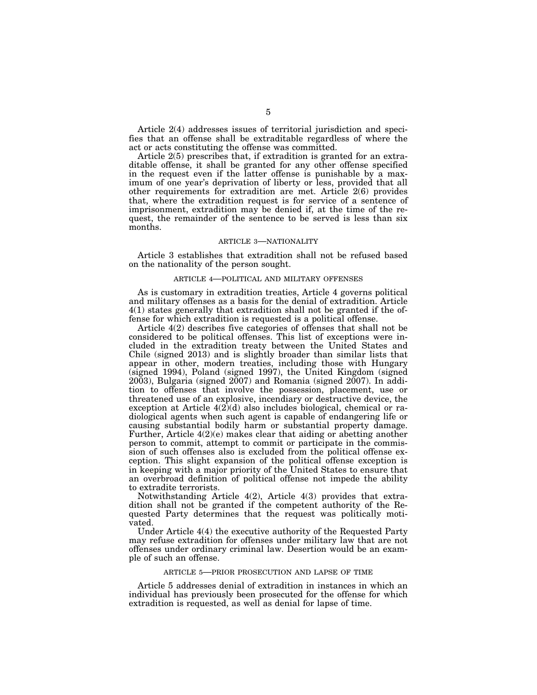Article 2(4) addresses issues of territorial jurisdiction and specifies that an offense shall be extraditable regardless of where the act or acts constituting the offense was committed.

Article 2(5) prescribes that, if extradition is granted for an extraditable offense, it shall be granted for any other offense specified in the request even if the latter offense is punishable by a maximum of one year's deprivation of liberty or less, provided that all other requirements for extradition are met. Article 2(6) provides that, where the extradition request is for service of a sentence of imprisonment, extradition may be denied if, at the time of the request, the remainder of the sentence to be served is less than six months.

## ARTICLE 3—NATIONALITY

Article 3 establishes that extradition shall not be refused based on the nationality of the person sought.

### ARTICLE 4—POLITICAL AND MILITARY OFFENSES

As is customary in extradition treaties, Article 4 governs political and military offenses as a basis for the denial of extradition. Article 4(1) states generally that extradition shall not be granted if the offense for which extradition is requested is a political offense.

Article 4(2) describes five categories of offenses that shall not be considered to be political offenses. This list of exceptions were included in the extradition treaty between the United States and Chile (signed 2013) and is slightly broader than similar lists that appear in other, modern treaties, including those with Hungary (signed 1994), Poland (signed 1997), the United Kingdom (signed  $2003$ ), Bulgaria (signed  $2007$ ) and Romania (signed  $2007$ ). In addition to offenses that involve the possession, placement, use or threatened use of an explosive, incendiary or destructive device, the exception at Article  $4(2)(d)$  also includes biological, chemical or radiological agents when such agent is capable of endangering life or causing substantial bodily harm or substantial property damage. Further, Article  $4(2)(e)$  makes clear that aiding or abetting another person to commit, attempt to commit or participate in the commission of such offenses also is excluded from the political offense exception. This slight expansion of the political offense exception is in keeping with a major priority of the United States to ensure that an overbroad definition of political offense not impede the ability to extradite terrorists.

Notwithstanding Article 4(2), Article 4(3) provides that extradition shall not be granted if the competent authority of the Requested Party determines that the request was politically motivated.

Under Article 4(4) the executive authority of the Requested Party may refuse extradition for offenses under military law that are not offenses under ordinary criminal law. Desertion would be an example of such an offense.

### ARTICLE 5—PRIOR PROSECUTION AND LAPSE OF TIME

Article 5 addresses denial of extradition in instances in which an individual has previously been prosecuted for the offense for which extradition is requested, as well as denial for lapse of time.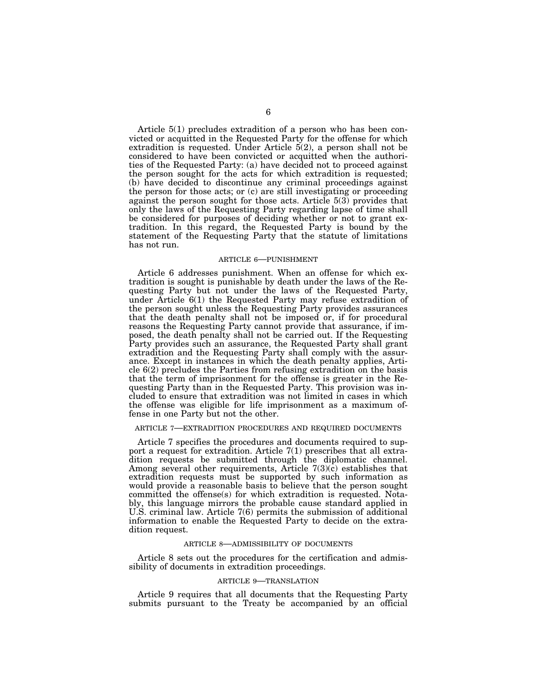Article 5(1) precludes extradition of a person who has been convicted or acquitted in the Requested Party for the offense for which extradition is requested. Under Article 5(2), a person shall not be considered to have been convicted or acquitted when the authorities of the Requested Party: (a) have decided not to proceed against the person sought for the acts for which extradition is requested; (b) have decided to discontinue any criminal proceedings against the person for those acts; or (c) are still investigating or proceeding against the person sought for those acts. Article 5(3) provides that only the laws of the Requesting Party regarding lapse of time shall be considered for purposes of deciding whether or not to grant extradition. In this regard, the Requested Party is bound by the statement of the Requesting Party that the statute of limitations has not run.

### ARTICLE 6—PUNISHMENT

Article 6 addresses punishment. When an offense for which extradition is sought is punishable by death under the laws of the Requesting Party but not under the laws of the Requested Party, under Article 6(1) the Requested Party may refuse extradition of the person sought unless the Requesting Party provides assurances that the death penalty shall not be imposed or, if for procedural reasons the Requesting Party cannot provide that assurance, if imposed, the death penalty shall not be carried out. If the Requesting Party provides such an assurance, the Requested Party shall grant extradition and the Requesting Party shall comply with the assurance. Except in instances in which the death penalty applies, Article 6(2) precludes the Parties from refusing extradition on the basis that the term of imprisonment for the offense is greater in the Requesting Party than in the Requested Party. This provision was included to ensure that extradition was not limited in cases in which the offense was eligible for life imprisonment as a maximum offense in one Party but not the other.

## ARTICLE 7—EXTRADITION PROCEDURES AND REQUIRED DOCUMENTS

Article 7 specifies the procedures and documents required to support a request for extradition. Article 7(1) prescribes that all extradition requests be submitted through the diplomatic channel. Among several other requirements, Article  $7(3)(\hat{c})$  establishes that extradition requests must be supported by such information as would provide a reasonable basis to believe that the person sought committed the offense(s) for which extradition is requested. Notably, this language mirrors the probable cause standard applied in U.S. criminal law. Article 7(6) permits the submission of additional information to enable the Requested Party to decide on the extradition request.

### ARTICLE 8—ADMISSIBILITY OF DOCUMENTS

Article 8 sets out the procedures for the certification and admissibility of documents in extradition proceedings.

#### ARTICLE 9—TRANSLATION

Article 9 requires that all documents that the Requesting Party submits pursuant to the Treaty be accompanied by an official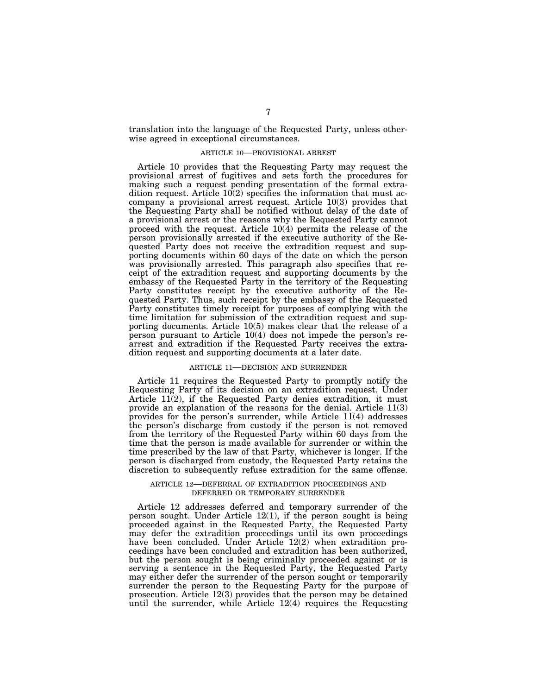translation into the language of the Requested Party, unless otherwise agreed in exceptional circumstances.

### ARTICLE 10—PROVISIONAL ARREST

Article 10 provides that the Requesting Party may request the provisional arrest of fugitives and sets forth the procedures for making such a request pending presentation of the formal extradition request. Article 10(2) specifies the information that must accompany a provisional arrest request. Article 10(3) provides that the Requesting Party shall be notified without delay of the date of a provisional arrest or the reasons why the Requested Party cannot proceed with the request. Article 10(4) permits the release of the person provisionally arrested if the executive authority of the Requested Party does not receive the extradition request and supporting documents within 60 days of the date on which the person was provisionally arrested. This paragraph also specifies that receipt of the extradition request and supporting documents by the embassy of the Requested Party in the territory of the Requesting Party constitutes receipt by the executive authority of the Requested Party. Thus, such receipt by the embassy of the Requested Party constitutes timely receipt for purposes of complying with the time limitation for submission of the extradition request and supporting documents. Article 10(5) makes clear that the release of a person pursuant to Article 10(4) does not impede the person's rearrest and extradition if the Requested Party receives the extradition request and supporting documents at a later date.

### ARTICLE 11—DECISION AND SURRENDER

Article 11 requires the Requested Party to promptly notify the Requesting Party of its decision on an extradition request. Under Article  $11(2)$ , if the Requested Party denies extradition, it must provide an explanation of the reasons for the denial. Article 11(3) provides for the person's surrender, while Article 11(4) addresses the person's discharge from custody if the person is not removed from the territory of the Requested Party within 60 days from the time that the person is made available for surrender or within the time prescribed by the law of that Party, whichever is longer. If the person is discharged from custody, the Requested Party retains the discretion to subsequently refuse extradition for the same offense.

### ARTICLE 12—DEFERRAL OF EXTRADITION PROCEEDINGS AND DEFERRED OR TEMPORARY SURRENDER

Article 12 addresses deferred and temporary surrender of the person sought. Under Article 12(1), if the person sought is being proceeded against in the Requested Party, the Requested Party may defer the extradition proceedings until its own proceedings have been concluded. Under Article 12(2) when extradition proceedings have been concluded and extradition has been authorized, but the person sought is being criminally proceeded against or is serving a sentence in the Requested Party, the Requested Party may either defer the surrender of the person sought or temporarily surrender the person to the Requesting Party for the purpose of prosecution. Article 12(3) provides that the person may be detained until the surrender, while Article 12(4) requires the Requesting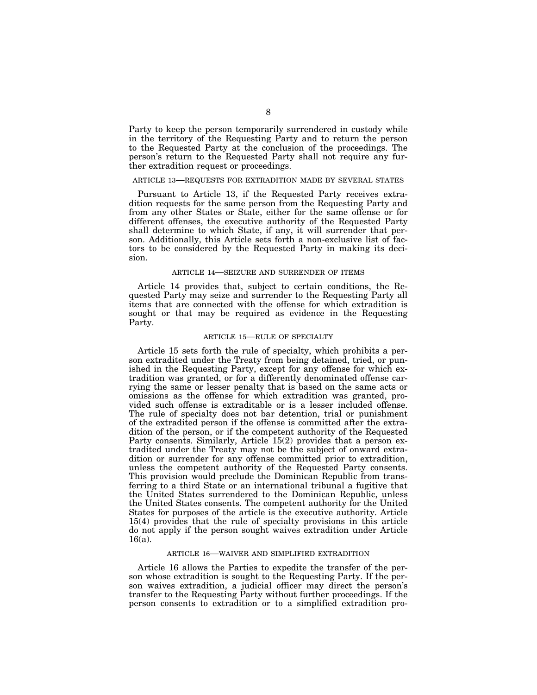Party to keep the person temporarily surrendered in custody while in the territory of the Requesting Party and to return the person to the Requested Party at the conclusion of the proceedings. The person's return to the Requested Party shall not require any further extradition request or proceedings.

#### ARTICLE 13—REQUESTS FOR EXTRADITION MADE BY SEVERAL STATES

Pursuant to Article 13, if the Requested Party receives extradition requests for the same person from the Requesting Party and from any other States or State, either for the same offense or for different offenses, the executive authority of the Requested Party shall determine to which State, if any, it will surrender that person. Additionally, this Article sets forth a non-exclusive list of factors to be considered by the Requested Party in making its decision.

### ARTICLE 14—SEIZURE AND SURRENDER OF ITEMS

Article 14 provides that, subject to certain conditions, the Requested Party may seize and surrender to the Requesting Party all items that are connected with the offense for which extradition is sought or that may be required as evidence in the Requesting Party.

### ARTICLE 15—RULE OF SPECIALTY

Article 15 sets forth the rule of specialty, which prohibits a person extradited under the Treaty from being detained, tried, or punished in the Requesting Party, except for any offense for which extradition was granted, or for a differently denominated offense carrying the same or lesser penalty that is based on the same acts or omissions as the offense for which extradition was granted, provided such offense is extraditable or is a lesser included offense. The rule of specialty does not bar detention, trial or punishment of the extradited person if the offense is committed after the extradition of the person, or if the competent authority of the Requested Party consents. Similarly, Article 15(2) provides that a person extradited under the Treaty may not be the subject of onward extradition or surrender for any offense committed prior to extradition, unless the competent authority of the Requested Party consents. This provision would preclude the Dominican Republic from transferring to a third State or an international tribunal a fugitive that the United States surrendered to the Dominican Republic, unless the United States consents. The competent authority for the United States for purposes of the article is the executive authority. Article 15(4) provides that the rule of specialty provisions in this article do not apply if the person sought waives extradition under Article 16(a).

### ARTICLE 16—WAIVER AND SIMPLIFIED EXTRADITION

Article 16 allows the Parties to expedite the transfer of the person whose extradition is sought to the Requesting Party. If the person waives extradition, a judicial officer may direct the person's transfer to the Requesting Party without further proceedings. If the person consents to extradition or to a simplified extradition pro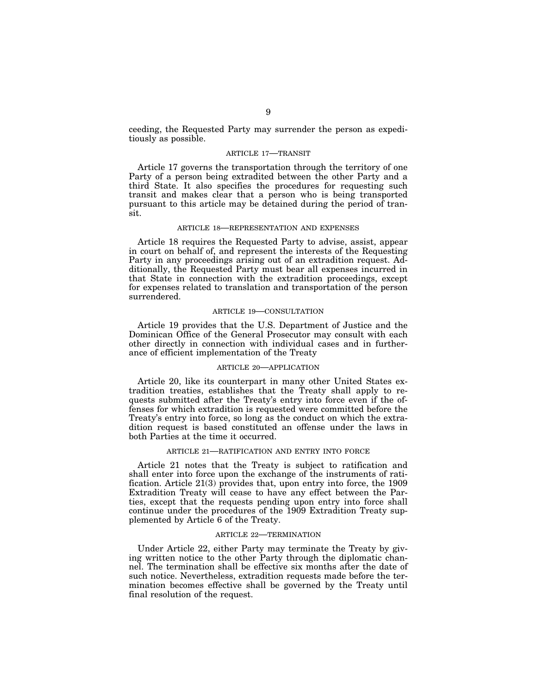ceeding, the Requested Party may surrender the person as expeditiously as possible.

## ARTICLE 17—TRANSIT

Article 17 governs the transportation through the territory of one Party of a person being extradited between the other Party and a third State. It also specifies the procedures for requesting such transit and makes clear that a person who is being transported pursuant to this article may be detained during the period of transit.

## ARTICLE 18—REPRESENTATION AND EXPENSES

Article 18 requires the Requested Party to advise, assist, appear in court on behalf of, and represent the interests of the Requesting Party in any proceedings arising out of an extradition request. Additionally, the Requested Party must bear all expenses incurred in that State in connection with the extradition proceedings, except for expenses related to translation and transportation of the person surrendered.

### ARTICLE 19—CONSULTATION

Article 19 provides that the U.S. Department of Justice and the Dominican Office of the General Prosecutor may consult with each other directly in connection with individual cases and in furtherance of efficient implementation of the Treaty

## ARTICLE 20—APPLICATION

Article 20, like its counterpart in many other United States extradition treaties, establishes that the Treaty shall apply to requests submitted after the Treaty's entry into force even if the offenses for which extradition is requested were committed before the Treaty's entry into force, so long as the conduct on which the extradition request is based constituted an offense under the laws in both Parties at the time it occurred.

## ARTICLE 21—RATIFICATION AND ENTRY INTO FORCE

Article 21 notes that the Treaty is subject to ratification and shall enter into force upon the exchange of the instruments of ratification. Article 21(3) provides that, upon entry into force, the 1909 Extradition Treaty will cease to have any effect between the Parties, except that the requests pending upon entry into force shall continue under the procedures of the 1909 Extradition Treaty supplemented by Article 6 of the Treaty.

## ARTICLE 22—TERMINATION

Under Article 22, either Party may terminate the Treaty by giving written notice to the other Party through the diplomatic channel. The termination shall be effective six months after the date of such notice. Nevertheless, extradition requests made before the termination becomes effective shall be governed by the Treaty until final resolution of the request.